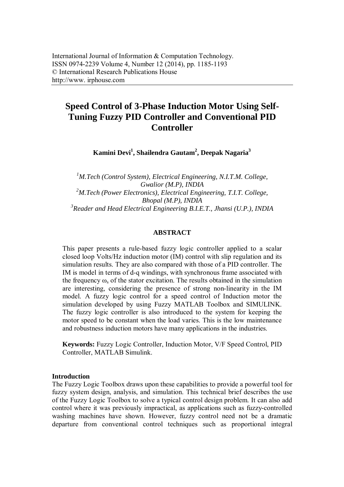# **Speed Control of 3-Phase Induction Motor Using Self-Tuning Fuzzy PID Controller and Conventional PID Controller**

**Kamini Devi<sup>1</sup> , Shailendra Gautam<sup>2</sup> , Deepak Nagaria<sup>3</sup>**

*<sup>1</sup>M.Tech (Control System), Electrical Engineering, N.I.T.M. College, Gwalior (M.P), INDIA <sup>2</sup>M.Tech (Power Electronics), Electrical Engineering, T.I.T. College, Bhopal (M.P), INDIA 3 Reader and Head Electrical Engineering B.I.E.T., Jhansi (U.P.), INDIA*

# **ABSTRACT**

This paper presents a rule-based fuzzy logic controller applied to a scalar closed loop Volts/Hz induction motor (IM) control with slip regulation and its simulation results. They are also compared with those of a PID controller. The IM is model in terms of d-q windings, with synchronous frame associated with the frequency  $\omega_s$  of the stator excitation. The results obtained in the simulation are interesting, considering the presence of strong non-linearity in the IM model. A fuzzy logic control for a speed control of Induction motor the simulation developed by using Fuzzy MATLAB Toolbox and SIMULINK. The fuzzy logic controller is also introduced to the system for keeping the motor speed to be constant when the load varies. This is the low maintenance and robustness induction motors have many applications in the industries.

**Keywords:** Fuzzy Logic Controller, Induction Motor, V/F Speed Control, PID Controller, MATLAB Simulink.

### **Introduction**

The Fuzzy Logic Toolbox draws upon these capabilities to provide a powerful tool for fuzzy system design, analysis, and simulation. This technical brief describes the use of the Fuzzy Logic Toolbox to solve a typical control design problem. It can also add control where it was previously impractical, as applications such as fuzzy-controlled washing machines have shown. However, fuzzy control need not be a dramatic departure from conventional control techniques such as proportional integral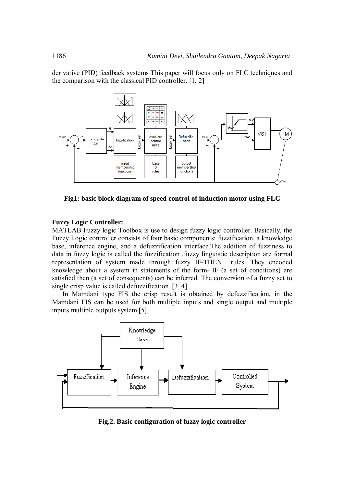derivative (PID) feedback systems This paper will focus only on FLC techniques and the comparison with the classical PID controller. [1, 2]



**Fig1: basic block diagram of speed control of induction motor using FLC**

#### **Fuzzy Logic Controller:**

MATLAB Fuzzy logic Toolbox is use to design fuzzy logic controller. Basically, the Fuzzy Logic controller consists of four basic components: fuzzification, a knowledge base, inference engine, and a defuzzification interface.The addition of fuzziness to data in fuzzy logic is called the fuzzification .fuzzy linguistic description are formal representation of system made through fuzzy IF-THEN rules. They encoded knowledge about a system in statements of the form- IF (a set of conditions) are satisfied then (a set of consequents) can be inferred. The conversion of a fuzzy set to single crisp value is called defuzzification. [3, 4]

In Mamdani type FIS the crisp result is obtained by defuzzification, in the Mamdani FIS can be used for both multiple inputs and single output and multiple inputs multiple outputs system [5].



**Fig.2. Basic configuration of fuzzy logic controller**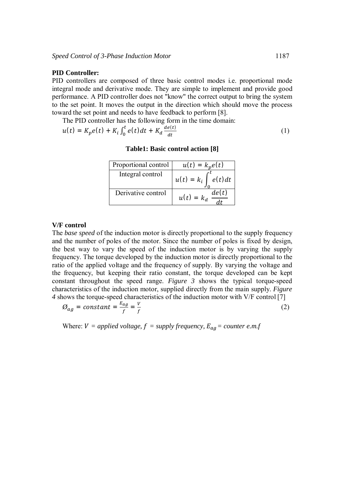### **PID Controller:**

PID controllers are composed of three basic control modes i.e. proportional mode integral mode and derivative mode. They are simple to implement and provide good performance. A PID controller does not "know" the correct output to bring the system to the set point. It moves the output in the direction which should move the process toward the set point and needs to have feedback to perform [8].

The PID controller has the following form in the time domain:

$$
u(t) = K_p e(t) + K_i \int_0^t e(t) dt + K_d \frac{de(t)}{dt}
$$
 (1)

| Proportional control | $u(t) = k_n e(t)$         |
|----------------------|---------------------------|
| Integral control     | $u(t) = k_i \int e(t) dt$ |
| Derivative control   | de(t)<br>$u(t) = k_d$     |

#### **Table1: Basic control action [8]**

## **V/F control**

The *base speed* of the induction motor is directly proportional to the supply frequency and the number of poles of the motor. Since the number of poles is fixed by design, the best way to vary the speed of the induction motor is by varying the supply frequency. The torque developed by the induction motor is directly proportional to the ratio of the applied voltage and the frequency of supply. By varying the voltage and the frequency, but keeping their ratio constant, the torque developed can be kept constant throughout the speed range. *Figure 3* shows the typical torque-speed characteristics of the induction motor, supplied directly from the main supply. *Figure 4* shows the torque-speed characteristics of the induction motor with V/F control [7]

$$
\mathcal{O}_{ag} = constant = \frac{E_{ag}}{f} = \frac{v}{f}
$$
 (2)

Where:  $V = applied voltage, f = supply frequency, E_{ag} = counter e.m.f$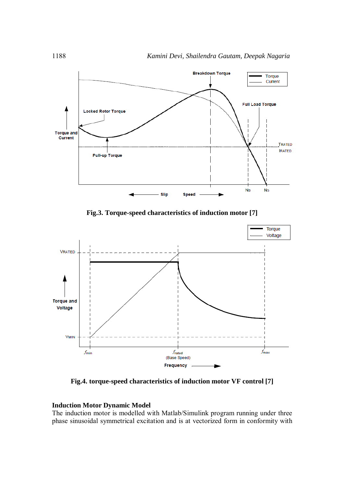

**Fig.3. Torque-speed characteristics of induction motor [7]**



**Fig.4. torque-speed characteristics of induction motor VF control [7]**

## **Induction Motor Dynamic Model**

The induction motor is modelled with Matlab/Simulink program running under three phase sinusoidal symmetrical excitation and is at vectorized form in conformity with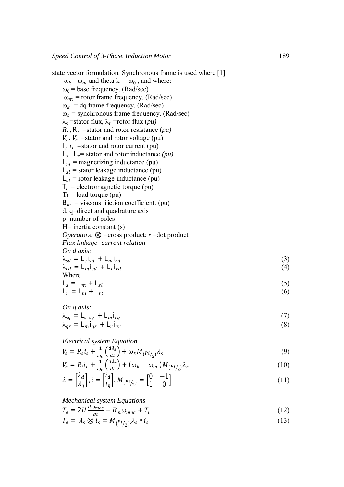state vector formulation. Synchronous frame is used where [1]  $\omega_k = \omega_m$  and theta  $k = \omega_0$ , and where:  $\omega_0$  = base frequency. (Rad/sec)  $\omega_m$  = rotor frame frequency. (Rad/sec)  $\omega_k$  = dq frame frequency. (Rad/sec)  $\omega_s$  = synchronous frame frequency. (Rad/sec)  $\lambda_s$  =stator flux,  $\lambda_r$  =rotor flux (*pu*)  $R_s$ ,  $R_r$  =stator and rotor resistance (*pu*)  $V_s$ ,  $V_r$  =stator and rotor voltage (pu)  $i_s$ ,  $i_r$  = stator and rotor current (pu)  $L_s$ ,  $L_r$  = stator and rotor inductance *(pu)*  $L_m$  = magnetizing inductance (pu)  $L_{sl}$  = stator leakage inductance (pu)  $L_{sl}$  = rotor leakage inductance (pu)  $T_e$  = electromagnetic torque (pu)  $T_L$  = load torque (pu)  $B_m$  = viscous friction coefficient. (pu) d, q=direct and quadrature axis p=number of poles  $H=$  inertia constant (s) *Operators:* ⊗ =cross product; • =dot product *Flux linkage- current relation On d axis:*  $\lambda_{sd} = L_s i_{sd} + L_m i_{rd}$  (3)  $\lambda_{rd} = L_m i_{sd} + L_r i_{rd}$  $i_{rd}$  (4) Where  $L_s = L_m + L_{sl}$  (5)

$$
L_r = L_m + L_{rl} \tag{6}
$$

On q axis:  
\n
$$
\lambda_{sq} = L_s i_{sq} + L_m i_{rq}
$$
\n
$$
\lambda_{qr} = L_m i_{qs} + L_r i_{qr}
$$
\n(7)

*Electrical system Equation*

$$
V_s = R_s i_s + \frac{1}{\omega_0} \left(\frac{d\lambda_s}{dt}\right) + \omega_k M_{(Pi/2)} \lambda_s
$$
\n(9)

$$
V_r = R_i i_r + \frac{1}{\omega_0} \left(\frac{d\lambda_r}{dt}\right) + (\omega_k - \omega_m) M_{(Pi/2)} \lambda_r
$$
\n(10)

$$
\lambda = \begin{bmatrix} \lambda_d \\ \lambda_q \end{bmatrix}, i = \begin{bmatrix} i_d \\ i_q \end{bmatrix}, M_{(Pi/2)} = \begin{bmatrix} 0 & -1 \\ 1 & 0 \end{bmatrix}
$$
\n(11)

## *Mechanical system Equations*

 $T_e = 2H \frac{d\omega_{mec}}{dt}$  $\frac{\omega_{mec}}{dt} + B_m \omega_{mec} + T_L$ (12)

$$
T_e = \lambda_s \otimes i_s = M_{(Pi_{1/2})} \lambda_s \cdot i_s \tag{13}
$$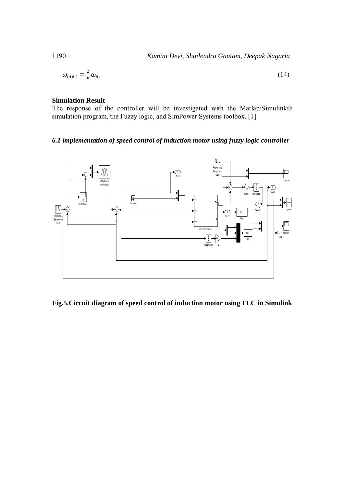$$
\omega_{mec} = \frac{2}{P} \omega_m \tag{14}
$$

## **Simulation Result**

The response of the controller will be investigated with the Matlab/Simulink*®*  simulation program, the Fuzzy logic, and SimPower Systems toolbox. [1]

# *6.1 implementation of speed control of induction motor using fuzzy logic controller*



**Fig.5.Circuit diagram of speed control of induction motor using FLC in Simulink**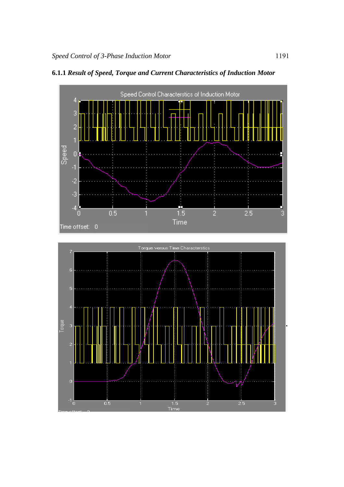

# **6.1.1** *Result of Speed, Torque and Current Characteristics of Induction Motor*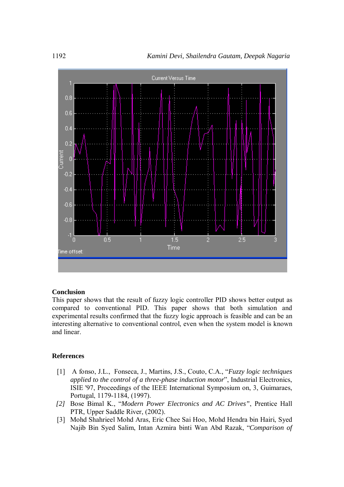

#### **Conclusion**

This paper shows that the result of fuzzy logic controller PID shows better output as compared to conventional PID. This paper shows that both simulation and experimental results confirmed that the fuzzy logic approach is feasible and can be an interesting alternative to conventional control, even when the system model is known and linear.

#### **References**

- [1] A fonso, J.L., Fonseca, J., Martins, J.S., Couto, C.A., "*Fuzzy logic techniques applied to the control of a three-phase induction motor*", Industrial Electronics, ISIE '97, Proceedings of the IEEE International Symposium on, 3, Guimaraes, Portugal, 1179-1184, (1997).
- *[2]* Bose Bimal K., "*Modern Power Electronics and AC Drives"*, Prentice Hall PTR, Upper Saddle River, (2002).
- [3] Mohd Shahrieel Mohd Aras, Eric Chee Sai Hoo, Mohd Hendra bin Hairi, Syed Najib Bin Syed Salim, Intan Azmira binti Wan Abd Razak, "*Comparison of*